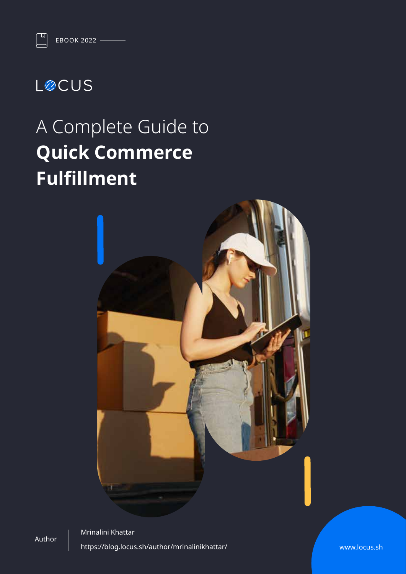### **LØCUS**

 $\mathbb{Z}$ 

# A Complete Guide to **Quick Commerce Fulfillment**



Author

Mrinalini Khattar https://blog.locus.sh/author/mrinalinikhattar/

www.locus.sh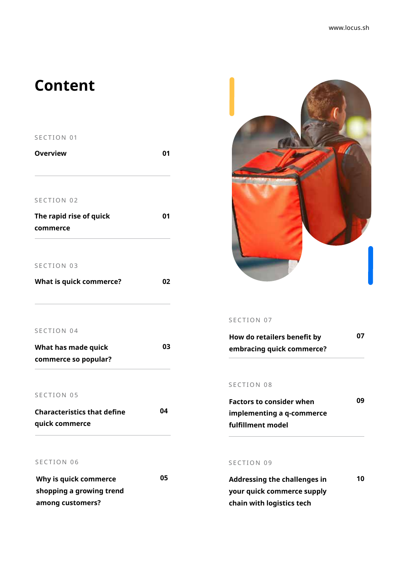### **Content**

#### SECTION 01

| <b>Overview</b>         | በ1 |  |
|-------------------------|----|--|
| SECTION 02              |    |  |
| The rapid rise of quick | 01 |  |
| commerce                |    |  |
|                         |    |  |
| SECTION 03              |    |  |
| What is quick commerce? | 02 |  |
|                         |    |  |
|                         |    |  |



| What has made quick  | 03 |
|----------------------|----|
| commerce so popular? |    |

#### SECTION 05

| <b>Characteristics that define</b> | 04 |
|------------------------------------|----|
| quick commerce                     |    |

#### SECTION 06

| Why is quick commerce    | 05 |
|--------------------------|----|
| shopping a growing trend |    |
| among customers?         |    |



#### SECTION 07

| How do retailers benefit by | 07 |
|-----------------------------|----|
| embracing quick commerce?   |    |

#### SECTION 08

| <b>Factors to consider when</b> | 09 |
|---------------------------------|----|
| implementing a q-commerce       |    |
| fulfillment model               |    |

#### SECTION 09

| <b>Addressing the challenges in</b> | 10 |
|-------------------------------------|----|
| your quick commerce supply          |    |
| chain with logistics tech           |    |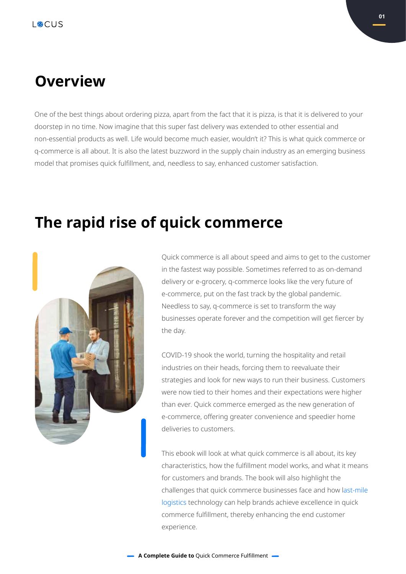### **Overview**

One of the best things about ordering pizza, apart from the fact that it is pizza, is that it is delivered to your doorstep in no time. Now imagine that this super fast delivery was extended to other essential and non-essential products as well. Life would become much easier, wouldn't it? This is what quick commerce or q-commerce is all about. It is also the latest buzzword in the supply chain industry as an emerging business model that promises quick fulfillment, and, needless to say, enhanced customer satisfaction.

### **The rapid rise of quick commerce**



Quick commerce is all about speed and aims to get to the customer in the fastest way possible. Sometimes referred to as on-demand delivery or e-grocery, q-commerce looks like the very future of e-commerce, put on the fast track by the global pandemic. Needless to say, q-commerce is set to transform the way businesses operate forever and the competition will get fiercer by the day.

COVID-19 shook the world, turning the hospitality and retail industries on their heads, forcing them to reevaluate their strategies and look for new ways to run their business. Customers were now tied to their homes and their expectations were higher than ever. Quick commerce emerged as the new generation of e-commerce, offering greater convenience and speedier home deliveries to customers.

This ebook will look at what quick commerce is all about, its key characteristics, how the fulfillment model works, and what it means for customers and brands. The book will also highlight the challenges that quick commerce businesses face and how last-mile logistics technology can help brands achieve excellence in quick commerce fulfillment, thereby enhancing the end customer experience.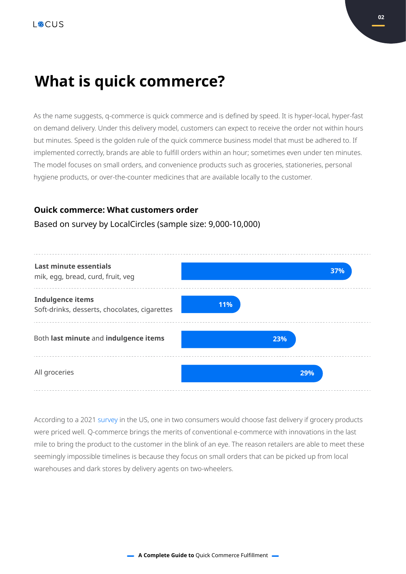### **What is quick commerce?**

As the name suggests, q-commerce is quick commerce and is defined by speed. It is hyper-local, hyper-fast on demand delivery. Under this delivery model, customers can expect to receive the order not within hours but minutes. Speed is the golden rule of the quick commerce business model that must be adhered to. If implemented correctly, brands are able to fulfill orders within an hour; sometimes even under ten minutes. The model focuses on small orders, and convenience products such as groceries, stationeries, personal hygiene products, or over-the-counter medicines that are available locally to the customer.

#### **Ouick commerce: What customers order**

#### Based on survey by LocalCircles (sample size: 9,000-10,000)



According to a 2021 survey in the US, one in two consumers would choose fast delivery if grocery products were priced well. Q-commerce brings the merits of conventional e-commerce with innovations in the last mile to bring the product to the customer in the blink of an eye. The reason retailers are able to meet these seemingly impossible timelines is because they focus on small orders that can be picked up from local warehouses and dark stores by delivery agents on two-wheelers.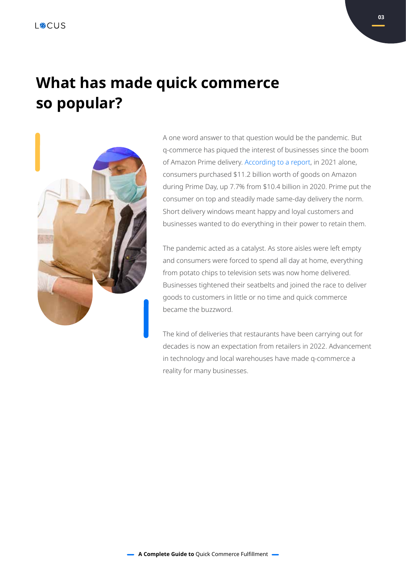### **What has made quick commerce so popular?**



A one word answer to that question would be the pandemic. But q-commerce has piqued the interest of businesses since the boom of Amazon Prime delivery. According to a report, in 2021 alone, consumers purchased \$11.2 billion worth of goods on Amazon during Prime Day, up 7.7% from \$10.4 billion in 2020. Prime put the consumer on top and steadily made same-day delivery the norm. Short delivery windows meant happy and loyal customers and businesses wanted to do everything in their power to retain them.

The pandemic acted as a catalyst. As store aisles were left empty and consumers were forced to spend all day at home, everything from potato chips to television sets was now home delivered. Businesses tightened their seatbelts and joined the race to deliver goods to customers in little or no time and quick commerce became the buzzword.

The kind of deliveries that restaurants have been carrying out for decades is now an expectation from retailers in 2022. Advancement in technology and local warehouses have made q-commerce a reality for many businesses.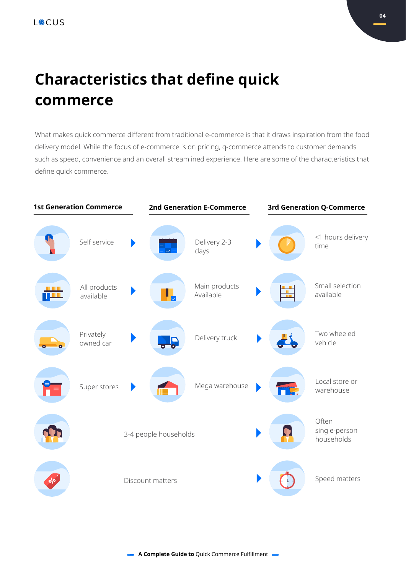## **Characteristics that define quick commerce**

What makes quick commerce different from traditional e-commerce is that it draws inspiration from the food delivery model. While the focus of e-commerce is on pricing, q-commerce attends to customer demands such as speed, convenience and an overall streamlined experience. Here are some of the characteristics that define quick commerce.

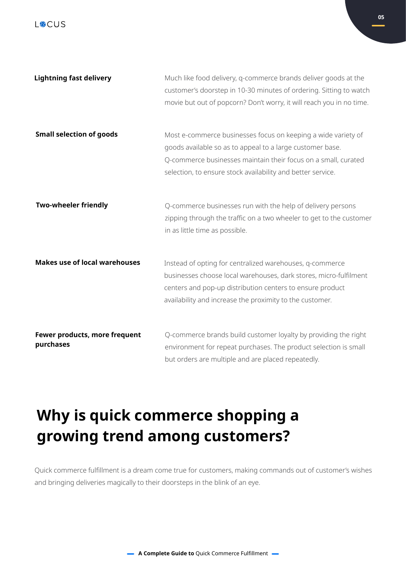| <b>Lightning fast delivery</b>             | Much like food delivery, q-commerce brands deliver goods at the<br>customer's doorstep in 10-30 minutes of ordering. Sitting to watch<br>movie but out of popcorn? Don't worry, it will reach you in no time.                                               |
|--------------------------------------------|-------------------------------------------------------------------------------------------------------------------------------------------------------------------------------------------------------------------------------------------------------------|
| <b>Small selection of goods</b>            | Most e-commerce businesses focus on keeping a wide variety of<br>goods available so as to appeal to a large customer base.<br>Q-commerce businesses maintain their focus on a small, curated<br>selection, to ensure stock availability and better service. |
| <b>Two-wheeler friendly</b>                | Q-commerce businesses run with the help of delivery persons<br>zipping through the traffic on a two wheeler to get to the customer<br>in as little time as possible.                                                                                        |
| <b>Makes use of local warehouses</b>       | Instead of opting for centralized warehouses, q-commerce<br>businesses choose local warehouses, dark stores, micro-fulfilment<br>centers and pop-up distribution centers to ensure product<br>availability and increase the proximity to the customer.      |
| Fewer products, more frequent<br>purchases | Q-commerce brands build customer loyalty by providing the right<br>environment for repeat purchases. The product selection is small<br>but orders are multiple and are placed repeatedly.                                                                   |

## **Why is quick commerce shopping a growing trend among customers?**

Quick commerce fulfillment is a dream come true for customers, making commands out of customer's wishes and bringing deliveries magically to their doorsteps in the blink of an eye.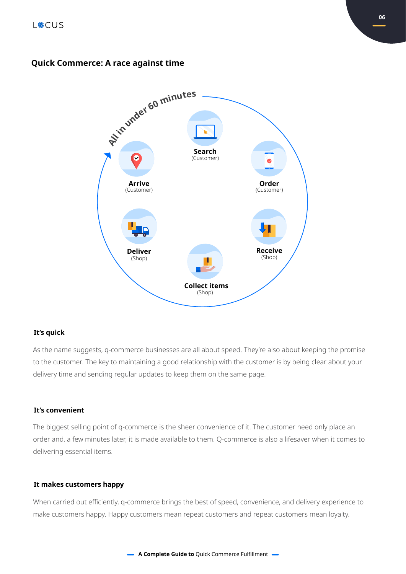#### **Quick Commerce: A race against time**



#### **It's quick**

As the name suggests, q-commerce businesses are all about speed. They're also about keeping the promise to the customer. The key to maintaining a good relationship with the customer is by being clear about your delivery time and sending regular updates to keep them on the same page.

#### **It's convenient**

The biggest selling point of q-commerce is the sheer convenience of it. The customer need only place an order and, a few minutes later, it is made available to them. Q-commerce is also a lifesaver when it comes to delivering essential items.

#### **It makes customers happy**

When carried out efficiently, q-commerce brings the best of speed, convenience, and delivery experience to make customers happy. Happy customers mean repeat customers and repeat customers mean loyalty.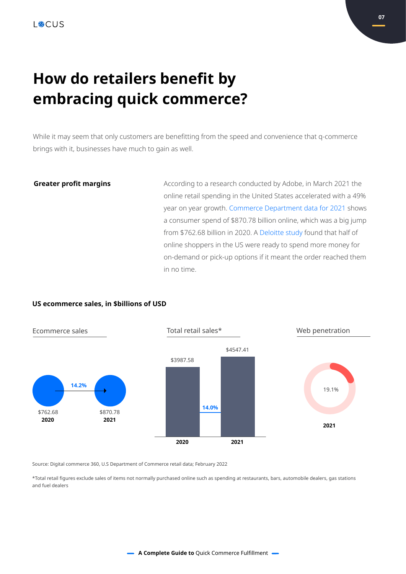### **How do retailers benefit by embracing quick commerce?**

While it may seem that only customers are benefitting from the speed and convenience that q-commerce brings with it, businesses have much to gain as well.

#### **Greater profit margins**

According to a research conducted by Adobe, in March 2021 the online retail spending in the United States accelerated with a 49% year on year growth. Commerce Department data for 2021 shows a consumer spend of \$870.78 billion online, which was a big jump from \$762.68 billion in 2020. A Deloitte study found that half of online shoppers in the US were ready to spend more money for on-demand or pick-up options if it meant the order reached them in no time.

#### **US ecommerce sales, in \$billions of USD**



Source: Digital commerce 360, U.S Department of Commerce retail data; February 2022

\*Total retail figures exclude sales of items not normally purchased online such as spending at restaurants, bars, automobile dealers, gas stations and fuel dealers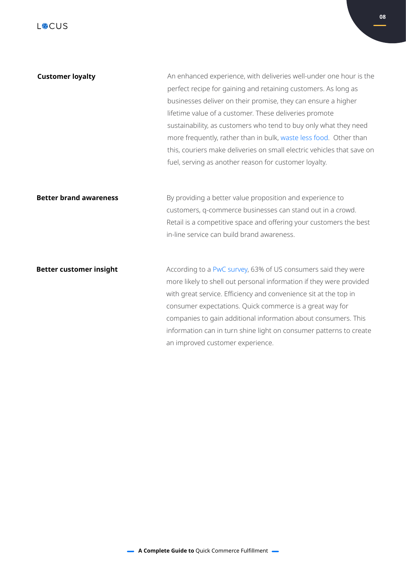| <b>Customer loyalty</b>        | An enhanced experience, with deliveries well-under one hour is the<br>perfect recipe for gaining and retaining customers. As long as |
|--------------------------------|--------------------------------------------------------------------------------------------------------------------------------------|
|                                | businesses deliver on their promise, they can ensure a higher                                                                        |
|                                | lifetime value of a customer. These deliveries promote                                                                               |
|                                | sustainability, as customers who tend to buy only what they need                                                                     |
|                                | more frequently, rather than in bulk, waste less food. Other than                                                                    |
|                                | this, couriers make deliveries on small electric vehicles that save on                                                               |
|                                | fuel, serving as another reason for customer loyalty.                                                                                |
|                                |                                                                                                                                      |
| <b>Better brand awareness</b>  | By providing a better value proposition and experience to                                                                            |
|                                | customers, q-commerce businesses can stand out in a crowd.                                                                           |
|                                | Retail is a competitive space and offering your customers the best                                                                   |
|                                | in-line service can build brand awareness.                                                                                           |
|                                |                                                                                                                                      |
| <b>Better customer insight</b> | According to a PwC survey, 63% of US consumers said they were                                                                        |
|                                | more likely to shell out personal information if they were provided                                                                  |
|                                | with great service. Efficiency and convenience sit at the top in                                                                     |
|                                | consumer expectations. Quick commerce is a great way for                                                                             |
|                                | companies to gain additional information about consumers. This                                                                       |
|                                | information can in turn shine light on consumer patterns to create                                                                   |

an improved customer experience.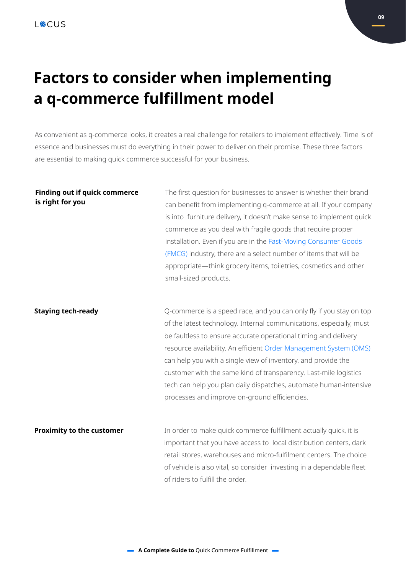## **Factors to consider when implementing a q-commerce fulfillment model**

As convenient as q-commerce looks, it creates a real challenge for retailers to implement effectively. Time is of essence and businesses must do everything in their power to deliver on their promise. These three factors are essential to making quick commerce successful for your business.

| <b>Finding out if quick commerce</b><br>is right for you | The first question for businesses to answer is whether their brand<br>can benefit from implementing q-commerce at all. If your company<br>is into furniture delivery, it doesn't make sense to implement quick<br>commerce as you deal with fragile goods that require proper<br>installation. Even if you are in the Fast-Moving Consumer Goods<br>(FMCG) industry, there are a select number of items that will be<br>appropriate-think grocery items, toiletries, cosmetics and other<br>small-sized products.                             |
|----------------------------------------------------------|-----------------------------------------------------------------------------------------------------------------------------------------------------------------------------------------------------------------------------------------------------------------------------------------------------------------------------------------------------------------------------------------------------------------------------------------------------------------------------------------------------------------------------------------------|
| <b>Staying tech-ready</b>                                | Q-commerce is a speed race, and you can only fly if you stay on top<br>of the latest technology. Internal communications, especially, must<br>be faultless to ensure accurate operational timing and delivery<br>resource availability. An efficient Order Management System (OMS)<br>can help you with a single view of inventory, and provide the<br>customer with the same kind of transparency. Last-mile logistics<br>tech can help you plan daily dispatches, automate human-intensive<br>processes and improve on-ground efficiencies. |
| <b>Proximity to the customer</b>                         | In order to make quick commerce fulfillment actually quick, it is<br>important that you have access to local distribution centers, dark<br>retail stores, warehouses and micro-fulfilment centers. The choice<br>of vehicle is also vital, so consider investing in a dependable fleet<br>of riders to fulfill the order.                                                                                                                                                                                                                     |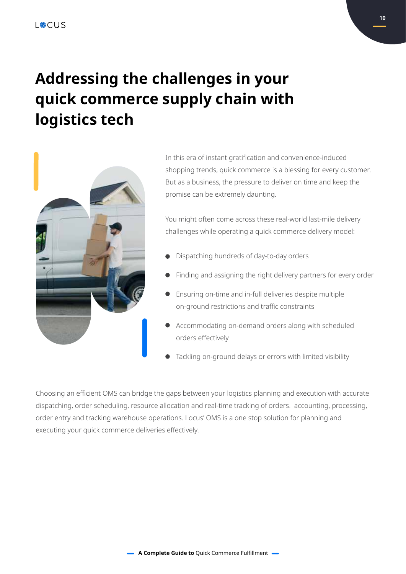## **Addressing the challenges in your quick commerce supply chain with logistics tech**



In this era of instant gratification and convenience-induced shopping trends, quick commerce is a blessing for every customer. But as a business, the pressure to deliver on time and keep the promise can be extremely daunting.

You might often come across these real-world last-mile delivery challenges while operating a quick commerce delivery model:

- Dispatching hundreds of day-to-day orders
- Finding and assigning the right delivery partners for every order
- Ensuring on-time and in-full deliveries despite multiple on-ground restrictions and traffic constraints
- Accommodating on-demand orders along with scheduled orders effectively
- Tackling on-ground delays or errors with limited visibility

Choosing an efficient OMS can bridge the gaps between your logistics planning and execution with accurate dispatching, order scheduling, resource allocation and real-time tracking of orders. accounting, processing, order entry and tracking warehouse operations. Locus' OMS is a one stop solution for planning and executing your quick commerce deliveries effectively.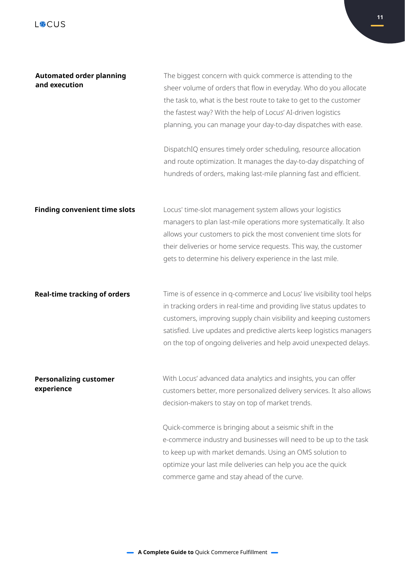| <b>Automated order planning</b><br>and execution | The biggest concern with quick commerce is attending to the<br>sheer volume of orders that flow in everyday. Who do you allocate<br>the task to, what is the best route to take to get to the customer<br>the fastest way? With the help of Locus' AI-driven logistics<br>planning, you can manage your day-to-day dispatches with ease.<br>DispatchIQ ensures timely order scheduling, resource allocation |
|--------------------------------------------------|-------------------------------------------------------------------------------------------------------------------------------------------------------------------------------------------------------------------------------------------------------------------------------------------------------------------------------------------------------------------------------------------------------------|
|                                                  | and route optimization. It manages the day-to-day dispatching of<br>hundreds of orders, making last-mile planning fast and efficient.                                                                                                                                                                                                                                                                       |
| <b>Finding convenient time slots</b>             | Locus' time-slot management system allows your logistics<br>managers to plan last-mile operations more systematically. It also<br>allows your customers to pick the most convenient time slots for<br>their deliveries or home service requests. This way, the customer<br>gets to determine his delivery experience in the last mile.                                                                      |
| <b>Real-time tracking of orders</b>              | Time is of essence in q-commerce and Locus' live visibility tool helps<br>in tracking orders in real-time and providing live status updates to<br>customers, improving supply chain visibility and keeping customers<br>satisfied. Live updates and predictive alerts keep logistics managers<br>on the top of ongoing deliveries and help avoid unexpected delays.                                         |
| <b>Personalizing customer</b><br>experience      | With Locus' advanced data analytics and insights, you can offer<br>customers better, more personalized delivery services. It also allows<br>decision-makers to stay on top of market trends.                                                                                                                                                                                                                |
|                                                  | Quick-commerce is bringing about a seismic shift in the<br>e-commerce industry and businesses will need to be up to the task<br>to keep up with market demands. Using an OMS solution to<br>optimize your last mile deliveries can help you ace the quick<br>commerce game and stay ahead of the curve.                                                                                                     |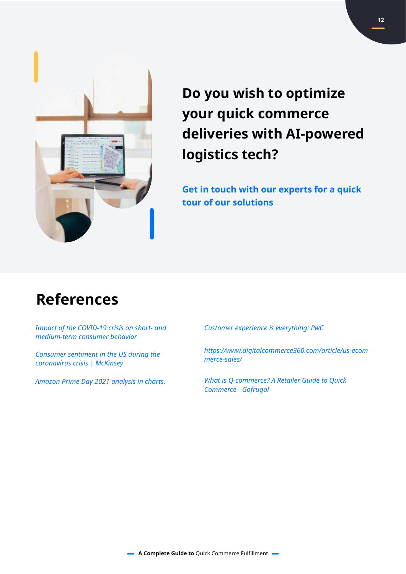

**Do you wish to optimize your quick commerce deliveries with AI-powered logistics tech?**

**Get in touch with our experts for a quick tour of our solutions**

### **References**

*Impact of the COVID-19 crisis on short- and medium-term consumer behavior*

*Consumer sentiment in the US during the coronavirus crisis | McKinsey*

*Amazon Prime Day 2021 analysis in charts.*

*Customer experience is everything: PwC*

*https://www.digitalcommerce360.com/article/us-ecom merce-sales/*

*What is Q-commerce? A Retailer Guide to Quick Commerce - Gofrugal*